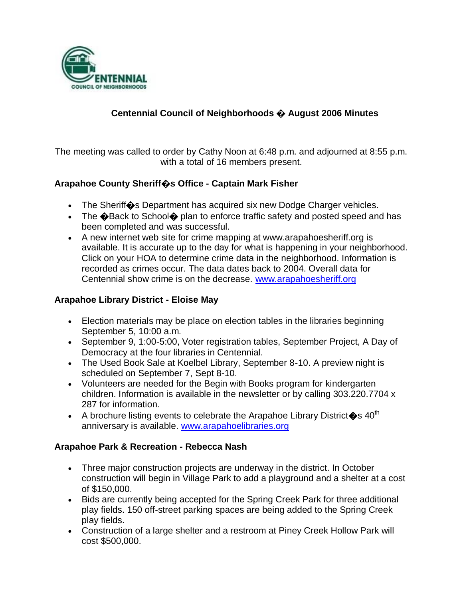

### **Centennial Council of Neighborhoods � August 2006 Minutes**

The meeting was called to order by Cathy Noon at 6:48 p.m. and adjourned at 8:55 p.m. with a total of 16 members present.

### **Arapahoe County Sheriff�s Office - Captain Mark Fisher**

- The Sheriff<sup>o</sup>s Department has acquired six new Dodge Charger vehicles.
- The  $\bigcirc$  Back to School $\bigcirc$  plan to enforce traffic safety and posted speed and has been completed and was successful.
- A new internet web site for crime mapping at www.arapahoesheriff.org is available. It is accurate up to the day for what is happening in your neighborhood. Click on your HOA to determine crime data in the neighborhood. Information is recorded as crimes occur. The data dates back to 2004. Overall data for Centennial show crime is on the decrease. [www.arapahoesheriff.org](http://www.arapahoesheriff.org/)

### **Arapahoe Library District - Eloise May**

- Election materials may be place on election tables in the libraries beginning September 5, 10:00 a.m.
- September 9, 1:00-5:00, Voter registration tables, September Project, A Day of Democracy at the four libraries in Centennial.
- The Used Book Sale at Koelbel Library, September 8-10. A preview night is scheduled on September 7, Sept 8-10.
- Volunteers are needed for the Begin with Books program for kindergarten children. Information is available in the newsletter or by calling 303.220.7704 x 287 for information.
- A brochure listing events to celebrate the Arapahoe Library District  $\hat{\mathbf{\bullet}}$ s 40<sup>th</sup> anniversary is available. [www.arapahoelibraries.org](http://www.arapahoelibraries.org/)

#### **Arapahoe Park & Recreation - Rebecca Nash**

- Three major construction projects are underway in the district. In October construction will begin in Village Park to add a playground and a shelter at a cost of \$150,000.
- Bids are currently being accepted for the Spring Creek Park for three additional play fields. 150 off-street parking spaces are being added to the Spring Creek play fields.
- Construction of a large shelter and a restroom at Piney Creek Hollow Park will cost \$500,000.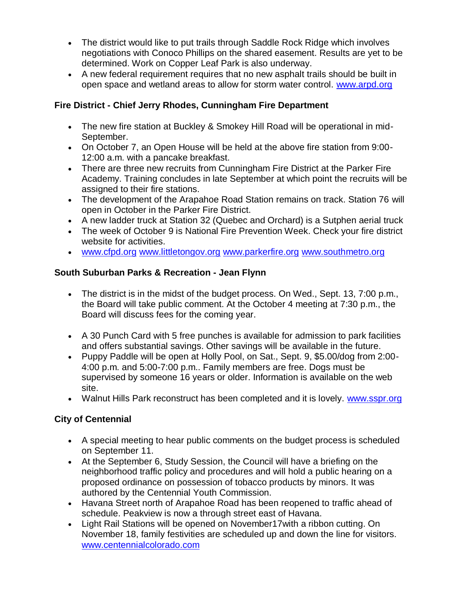- The district would like to put trails through Saddle Rock Ridge which involves negotiations with Conoco Phillips on the shared easement. Results are yet to be determined. Work on Copper Leaf Park is also underway.
- A new federal requirement requires that no new asphalt trails should be built in open space and wetland areas to allow for storm water control. [www.arpd.org](http://www.arpd.org/)

## **Fire District - Chief Jerry Rhodes, Cunningham Fire Department**

- The new fire station at Buckley & Smokey Hill Road will be operational in mid-September.
- On October 7, an Open House will be held at the above fire station from 9:00- 12:00 a.m. with a pancake breakfast.
- There are three new recruits from Cunningham Fire District at the Parker Fire Academy. Training concludes in late September at which point the recruits will be assigned to their fire stations.
- The development of the Arapahoe Road Station remains on track. Station 76 will open in October in the Parker Fire District.
- A new ladder truck at Station 32 (Quebec and Orchard) is a Sutphen aerial truck
- The week of October 9 is National Fire Prevention Week. Check your fire district website for activities.
- [www.cfpd.org](http://www.cfpd.org/) [www.littletongov.org](http://www.littletongov.org/) [www.parkerfire.org](http://www.parkerfire.org/) [www.southmetro.org](http://www.southmetro.org/)

## **South Suburban Parks & Recreation - Jean Flynn**

- The district is in the midst of the budget process. On Wed., Sept. 13, 7:00 p.m., the Board will take public comment. At the October 4 meeting at 7:30 p.m., the Board will discuss fees for the coming year.
- A 30 Punch Card with 5 free punches is available for admission to park facilities and offers substantial savings. Other savings will be available in the future.
- Puppy Paddle will be open at Holly Pool, on Sat., Sept. 9, \$5.00/dog from 2:00- 4:00 p.m. and 5:00-7:00 p.m.. Family members are free. Dogs must be supervised by someone 16 years or older. Information is available on the web site.
- Walnut Hills Park reconstruct has been completed and it is lovely. [www.sspr.org](http://www.sspr.org/)

## **City of Centennial**

- A special meeting to hear public comments on the budget process is scheduled on September 11.
- At the September 6, Study Session, the Council will have a briefing on the neighborhood traffic policy and procedures and will hold a public hearing on a proposed ordinance on possession of tobacco products by minors. It was authored by the Centennial Youth Commission.
- Havana Street north of Arapahoe Road has been reopened to traffic ahead of schedule. Peakview is now a through street east of Havana.
- Light Rail Stations will be opened on November17with a ribbon cutting. On November 18, family festivities are scheduled up and down the line for visitors. [www.centennialcolorado.com](http://www.centennialcolorado.com/)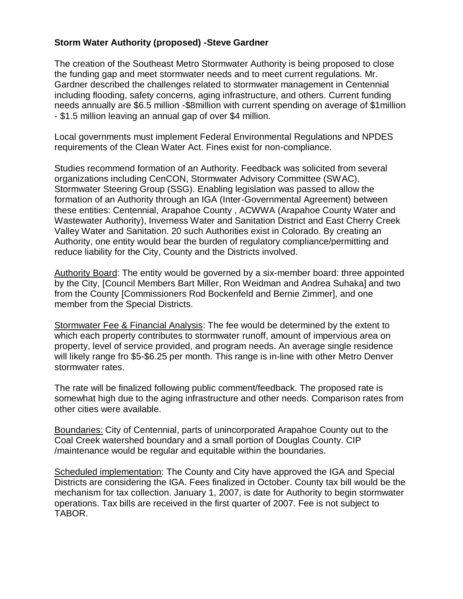#### **Storm Water Authority (proposed) -Steve Gardner**

The creation of the Southeast Metro Stormwater Authority is being proposed to close the funding gap and meet stormwater needs and to meet current regulations. Mr. Gardner described the challenges related to stormwater management in Centennial including flooding, safety concerns, aging infrastructure, and others. Current funding needs annually are \$6.5 million -\$8million with current spending on average of \$1million - \$1.5 million leaving an annual gap of over \$4 million.

Local governments must implement Federal Environmental Regulations and NPDES requirements of the Clean Water Act. Fines exist for non-compliance.

Studies recommend formation of an Authority. Feedback was solicited from several organizations including CenCON, Stormwater Advisory Committee (SWAC), Stormwater Steering Group (SSG). Enabling legislation was passed to allow the formation of an Authority through an IGA (Inter-Governmental Agreement) between these entities: Centennial, Arapahoe County , ACWWA (Arapahoe County Water and Wastewater Authority), Inverness Water and Sanitation District and East Cherry Creek Valley Water and Sanitation. 20 such Authorities exist in Colorado. By creating an Authority, one entity would bear the burden of regulatory compliance/permitting and reduce liability for the City, County and the Districts involved.

Authority Board: The entity would be governed by a six-member board: three appointed by the City, [Council Members Bart Miller, Ron Weidman and Andrea Suhaka] and two from the County [Commissioners Rod Bockenfeld and Bernie Zimmer], and one member from the Special Districts.

Stormwater Fee & Financial Analysis: The fee would be determined by the extent to which each property contributes to stormwater runoff, amount of impervious area on property, level of service provided, and program needs. An average single residence will likely range fro \$5-\$6.25 per month. This range is in-line with other Metro Denver stormwater rates.

The rate will be finalized following public comment/feedback. The proposed rate is somewhat high due to the aging infrastructure and other needs. Comparison rates from other cities were available.

Boundaries: City of Centennial, parts of unincorporated Arapahoe County out to the Coal Creek watershed boundary and a small portion of Douglas County. CIP /maintenance would be regular and equitable within the boundaries.

Scheduled implementation: The County and City have approved the IGA and Special Districts are considering the IGA. Fees finalized in October. County tax bill would be the mechanism for tax collection. January 1, 2007, is date for Authority to begin stormwater operations. Tax bills are received in the first quarter of 2007. Fee is not subject to TABOR.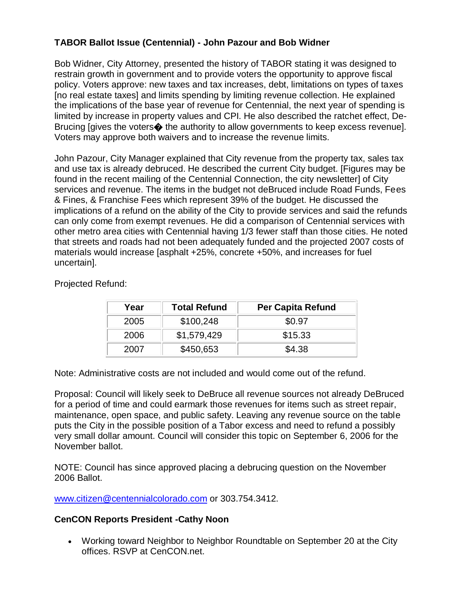## **TABOR Ballot Issue (Centennial) - John Pazour and Bob Widner**

Bob Widner, City Attorney, presented the history of TABOR stating it was designed to restrain growth in government and to provide voters the opportunity to approve fiscal policy. Voters approve: new taxes and tax increases, debt, limitations on types of taxes [no real estate taxes] and limits spending by limiting revenue collection. He explained the implications of the base year of revenue for Centennial, the next year of spending is limited by increase in property values and CPI. He also described the ratchet effect, De-Brucing [gives the voters $\clubsuit$  the authority to allow governments to keep excess revenue]. Voters may approve both waivers and to increase the revenue limits.

John Pazour, City Manager explained that City revenue from the property tax, sales tax and use tax is already debruced. He described the current City budget. [Figures may be found in the recent mailing of the Centennial Connection, the city newsletter] of City services and revenue. The items in the budget not deBruced include Road Funds, Fees & Fines, & Franchise Fees which represent 39% of the budget. He discussed the implications of a refund on the ability of the City to provide services and said the refunds can only come from exempt revenues. He did a comparison of Centennial services with other metro area cities with Centennial having 1/3 fewer staff than those cities. He noted that streets and roads had not been adequately funded and the projected 2007 costs of materials would increase [asphalt +25%, concrete +50%, and increases for fuel uncertain].

| Year | <b>Total Refund</b> | <b>Per Capita Refund</b> |
|------|---------------------|--------------------------|
| 2005 | \$100,248           | \$0.97                   |
| 2006 | \$1,579,429         | \$15.33                  |
| 2007 | \$450,653           | \$4.38                   |

Projected Refund:

Note: Administrative costs are not included and would come out of the refund.

Proposal: Council will likely seek to DeBruce all revenue sources not already DeBruced for a period of time and could earmark those revenues for items such as street repair, maintenance, open space, and public safety. Leaving any revenue source on the table puts the City in the possible position of a Tabor excess and need to refund a possibly very small dollar amount. Council will consider this topic on September 6, 2006 for the November ballot.

NOTE: Council has since approved placing a debrucing question on the November 2006 Ballot.

[www.citizen@centennialcolorado.com](http://www.citizen@centennialcolorado.com/) or 303.754.3412.

#### **CenCON Reports President -Cathy Noon**

 Working toward Neighbor to Neighbor Roundtable on September 20 at the City offices. RSVP at CenCON.net.